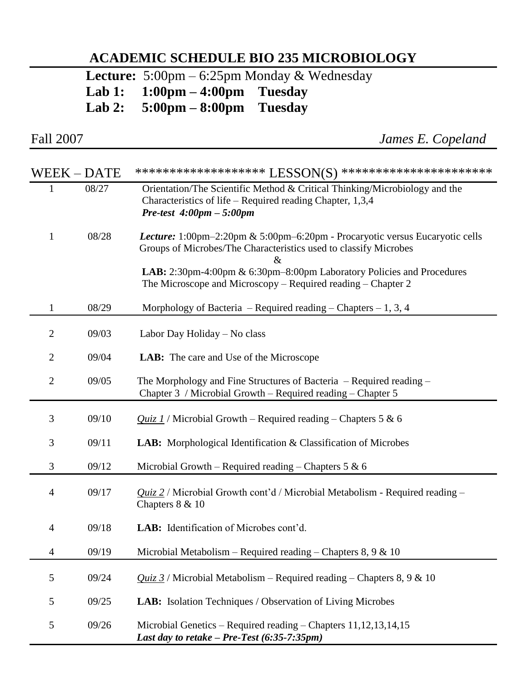## **ACADEMIC SCHEDULE BIO 235 MICROBIOLOGY**

 **Lecture:** 5:00pm – 6:25pm Monday & Wednesday

**Lab 1: 1:00pm – 4:00pm Tuesday** 

**5:00pm – 8:00pm** 

| Fall 2007      |             | James E. Copeland                                                                                                                                                                       |
|----------------|-------------|-----------------------------------------------------------------------------------------------------------------------------------------------------------------------------------------|
|                | WEEK – DATE | ******************** LESSON(S) ***********************                                                                                                                                  |
| $\mathbf{1}$   | 08/27       | Orientation/The Scientific Method & Critical Thinking/Microbiology and the<br>Characteristics of life – Required reading Chapter, $1,3,4$<br>Pre-test $4:00 \text{pm} - 5:00 \text{pm}$ |
| $\mathbf{1}$   | 08/28       | Lecture: 1:00pm-2:20pm & 5:00pm-6:20pm - Procaryotic versus Eucaryotic cells<br>Groups of Microbes/The Characteristics used to classify Microbes<br>$\&$                                |
|                |             | LAB: 2:30pm-4:00pm & 6:30pm-8:00pm Laboratory Policies and Procedures<br>The Microscope and Microscopy – Required reading – Chapter $2$                                                 |
| $\mathbf{1}$   | 08/29       | Morphology of Bacteria - Required reading - Chapters - 1, 3, 4                                                                                                                          |
| $\overline{2}$ | 09/03       | Labor Day Holiday - No class                                                                                                                                                            |
| $\overline{2}$ | 09/04       | <b>LAB:</b> The care and Use of the Microscope                                                                                                                                          |
| 2              | 09/05       | The Morphology and Fine Structures of Bacteria $-$ Required reading $-$<br>Chapter 3 / Microbial Growth - Required reading - Chapter 5                                                  |
| 3              | 09/10       | <i>Quiz 1</i> / Microbial Growth – Required reading – Chapters 5 & 6                                                                                                                    |
| 3              | 09/11       | <b>LAB:</b> Morphological Identification & Classification of Microbes                                                                                                                   |
| 3              | 09/12       | Microbial Growth – Required reading – Chapters 5 & 6                                                                                                                                    |
| $\overline{4}$ | 09/17       | $Quiz 2$ / Microbial Growth cont'd / Microbial Metabolism - Required reading –<br>Chapters $8 & 10$                                                                                     |
| $\overline{4}$ | 09/18       | LAB: Identification of Microbes cont'd.                                                                                                                                                 |
| $\overline{4}$ | 09/19       | Microbial Metabolism – Required reading – Chapters 8, 9 & 10                                                                                                                            |
| 5              | 09/24       | <i>Quiz 3</i> / Microbial Metabolism – Required reading – Chapters 8, 9 & 10                                                                                                            |
| $\mathfrak{S}$ | 09/25       | LAB: Isolation Techniques / Observation of Living Microbes                                                                                                                              |
| 5              | 09/26       | Microbial Genetics – Required reading – Chapters $11,12,13,14,15$<br>Last day to retake $-$ Pre-Test (6:35-7:35pm)                                                                      |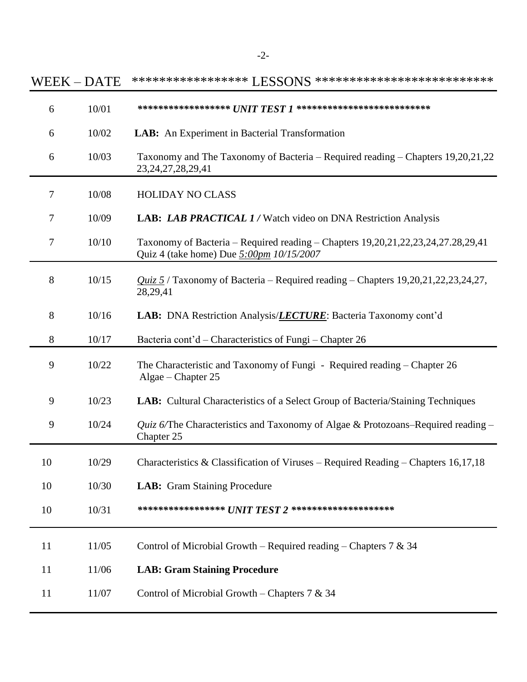|    | WEEK-DATE | ****************** LESSONS ***************************                                                                       |
|----|-----------|------------------------------------------------------------------------------------------------------------------------------|
| 6  | 10/01     | ******************* $U\!N\!T\,T\!E\!S\!T\,I$ ***************************                                                     |
| 6  | 10/02     | LAB: An Experiment in Bacterial Transformation                                                                               |
| 6  | 10/03     | Taxonomy and The Taxonomy of Bacteria – Required reading – Chapters 19,20,21,22<br>23, 24, 27, 28, 29, 41                    |
| 7  | 10/08     | <b>HOLIDAY NO CLASS</b>                                                                                                      |
| 7  | 10/09     | LAB: LAB PRACTICAL 1 / Watch video on DNA Restriction Analysis                                                               |
| 7  | 10/10     | Taxonomy of Bacteria – Required reading – Chapters 19,20,21,22,23,24,27.28,29,41<br>Quiz 4 (take home) Due 5:00pm 10/15/2007 |
| 8  | 10/15     | <i>Quiz</i> $5/$ Taxonomy of Bacteria – Required reading – Chapters 19,20,21,22,23,24,27,<br>28,29,41                        |
| 8  | 10/16     | LAB: DNA Restriction Analysis/ <i>LECTURE</i> : Bacteria Taxonomy cont'd                                                     |
| 8  | 10/17     | Bacteria cont'd – Characteristics of Fungi – Chapter 26                                                                      |
| 9  | 10/22     | The Characteristic and Taxonomy of Fungi - Required reading – Chapter 26<br>Algae – Chapter 25                               |
| 9  | 10/23     | LAB: Cultural Characteristics of a Select Group of Bacteria/Staining Techniques                                              |
| 9  | 10/24     | <i>Quiz 6/The Characteristics and Taxonomy of Algae &amp; Protozoans–Required reading –</i><br>Chapter 25                    |
| 10 | 10/29     | Characteristics & Classification of Viruses – Required Reading – Chapters 16,17,18                                           |
| 10 | 10/30     | LAB: Gram Staining Procedure                                                                                                 |
| 10 | 10/31     | ****************** $\pmb{U\!N\!T\,T\!E\!S\!T\,2}$ *********************                                                      |
| 11 | 11/05     | Control of Microbial Growth – Required reading – Chapters 7 & 34                                                             |
| 11 | 11/06     | <b>LAB: Gram Staining Procedure</b>                                                                                          |
| 11 | 11/07     | Control of Microbial Growth – Chapters 7 & 34                                                                                |